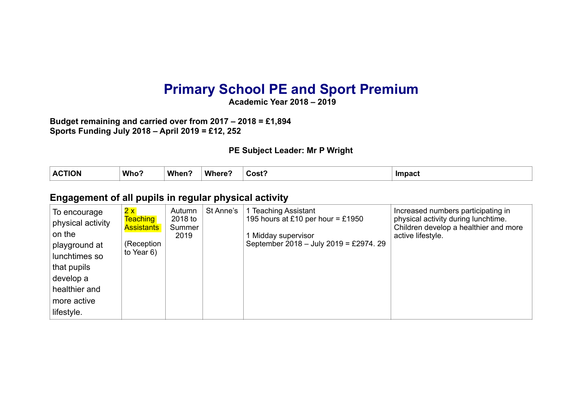# **Primary School PE and Sport Premium**

**Academic Year 2018 – 2019** 

**Budget remaining and carried over from 2017 – 2018 = £1,894 Sports Funding July 2018 – April 2019 = £12, 252** 

#### **PE Subject Leader: Mr P Wright**

| $\bullet$ $\bullet$<br>. I ION<br>A | Who? | <b>When</b> | <b>Wher</b><br>$-1$ | Cost <sup>-</sup> | <b>Impact</b> |
|-------------------------------------|------|-------------|---------------------|-------------------|---------------|
|                                     |      |             |                     |                   |               |

#### **Engagement of all pupils in regular physical activity**

| To encourage<br>physical activity<br>on the | 2x<br><b>Teaching</b><br><b>Assistants</b> | Autumn<br>2018 to<br>Summer<br>2019 | St Anne's | 1 Teaching Assistant<br>195 hours at £10 per hour = £1950<br>Midday supervisor | Increased numbers participating in<br>physical activity during lunchtime.<br>Children develop a healthier and more<br>active lifestyle. |
|---------------------------------------------|--------------------------------------------|-------------------------------------|-----------|--------------------------------------------------------------------------------|-----------------------------------------------------------------------------------------------------------------------------------------|
| playground at<br>lunchtimes so              | (Reception<br>to Year $6)$                 |                                     |           | September 2018 - July 2019 = £2974. 29                                         |                                                                                                                                         |
| that pupils<br>develop a                    |                                            |                                     |           |                                                                                |                                                                                                                                         |
| healthier and                               |                                            |                                     |           |                                                                                |                                                                                                                                         |
| more active<br>lifestyle.                   |                                            |                                     |           |                                                                                |                                                                                                                                         |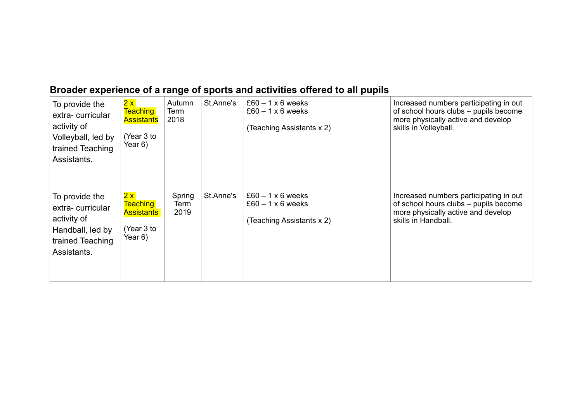#### **Broader experience of a range of sports and activities offered to all pupils**

| To provide the<br>extra-curricular<br>activity of<br>Volleyball, led by<br>trained Teaching<br>Assistants. | 2x<br><b>Teaching</b><br><b>Assistants</b><br>(Year 3 to<br>Year 6) | Autumn<br>Term<br>2018 | St.Anne's | $£60 - 1 \times 6$ weeks<br>$£60 - 1 \times 6$ weeks<br>(Teaching Assistants x 2) | Increased numbers participating in out<br>of school hours clubs - pupils become<br>more physically active and develop<br>skills in Volleyball. |
|------------------------------------------------------------------------------------------------------------|---------------------------------------------------------------------|------------------------|-----------|-----------------------------------------------------------------------------------|------------------------------------------------------------------------------------------------------------------------------------------------|
| To provide the<br>extra-curricular<br>activity of<br>Handball, led by<br>trained Teaching<br>Assistants.   | 2x<br><b>Teaching</b><br><b>Assistants</b><br>(Year 3 to<br>Year 6) | Spring<br>Term<br>2019 | St.Anne's | $£60 - 1 \times 6$ weeks<br>$£60 - 1 \times 6$ weeks<br>(Teaching Assistants x 2) | Increased numbers participating in out<br>of school hours clubs - pupils become<br>more physically active and develop<br>skills in Handball.   |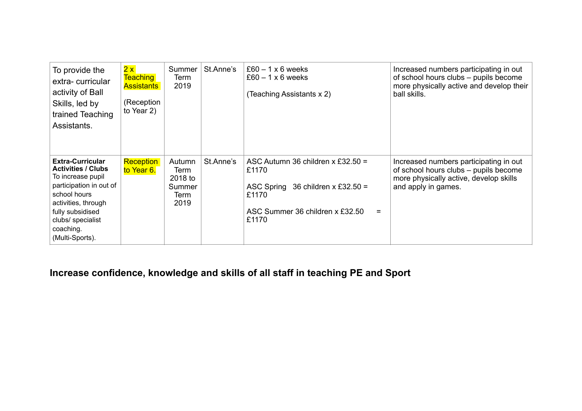| To provide the<br>extra-curricular<br>activity of Ball<br>Skills, led by<br>trained Teaching<br>Assistants.                                                                                                          | 2x<br><b>Teaching</b><br><b>Assistants</b><br>(Reception<br>to Year 2) | Summer<br>Term<br>2019                              | St.Anne's | $£60 - 1 \times 6$ weeks<br>$£60 - 1 \times 6$ weeks<br>(Teaching Assistants x 2)                                                              | Increased numbers participating in out<br>of school hours clubs - pupils become<br>more physically active and develop their<br>ball skills.      |
|----------------------------------------------------------------------------------------------------------------------------------------------------------------------------------------------------------------------|------------------------------------------------------------------------|-----------------------------------------------------|-----------|------------------------------------------------------------------------------------------------------------------------------------------------|--------------------------------------------------------------------------------------------------------------------------------------------------|
| <b>Extra-Curricular</b><br><b>Activities / Clubs</b><br>To increase pupil<br>participation in out of<br>school hours<br>activities, through<br>fully subsidised<br>clubs/ specialist<br>coaching.<br>(Multi-Sports). | Reception<br>to Year 6.                                                | Autumn<br>Term<br>2018 to<br>Summer<br>Term<br>2019 | St.Anne's | ASC Autumn 36 children x £32.50 =<br>£1170<br>36 children x £32.50 =<br><b>ASC Spring</b><br>£1170<br>ASC Summer 36 children x £32.50<br>£1170 | Increased numbers participating in out<br>of school hours clubs - pupils become<br>more physically active, develop skills<br>and apply in games. |

## **Increase confidence, knowledge and skills of all staff in teaching PE and Sport**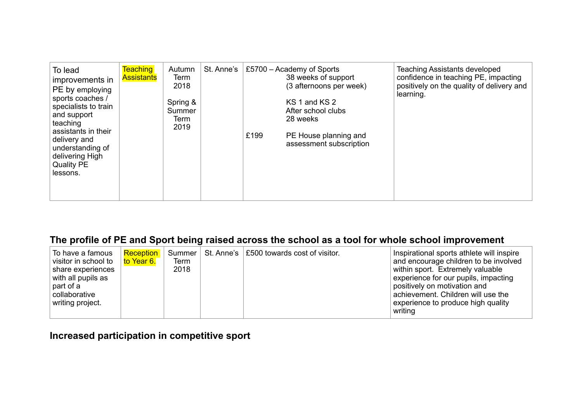| To lead<br>improvements in<br>PE by employing<br>sports coaches /<br>specialists to train<br>and support<br>teaching<br>assistants in their<br>delivery and<br>understanding of<br>delivering High<br><b>Quality PE</b><br>lessons. | <b>Teaching</b><br><b>Assistants</b> | Autumn<br>Term<br>2018<br>Spring &<br>Summer<br>Term<br>2019 | St. Anne's | £199 | £5700 – Academy of Sports<br>38 weeks of support<br>(3 afternoons per week)<br>KS 1 and KS 2<br>After school clubs<br>28 weeks<br>PE House planning and<br>assessment subscription | <b>Teaching Assistants developed</b><br>confidence in teaching PE, impacting<br>positively on the quality of delivery and<br>learning. |
|-------------------------------------------------------------------------------------------------------------------------------------------------------------------------------------------------------------------------------------|--------------------------------------|--------------------------------------------------------------|------------|------|------------------------------------------------------------------------------------------------------------------------------------------------------------------------------------|----------------------------------------------------------------------------------------------------------------------------------------|
|-------------------------------------------------------------------------------------------------------------------------------------------------------------------------------------------------------------------------------------|--------------------------------------|--------------------------------------------------------------|------------|------|------------------------------------------------------------------------------------------------------------------------------------------------------------------------------------|----------------------------------------------------------------------------------------------------------------------------------------|

#### **The profile of PE and Sport being raised across the school as a tool for whole school improvement**

| To have a famous<br>visitor in school to<br>share experiences<br>with all pupils as<br>part of a<br>collaborative<br>writing project. | Reception<br>l <mark>to Year 6.</mark> | Summer  <br>Term<br>2018 | St. Anne's   £500 towards cost of visitor. | Inspirational sports athlete will inspire<br>and encourage children to be involved<br>within sport. Extremely valuable<br>experience for our pupils, impacting<br>positively on motivation and<br>achievement. Children will use the<br>experience to produce high quality |
|---------------------------------------------------------------------------------------------------------------------------------------|----------------------------------------|--------------------------|--------------------------------------------|----------------------------------------------------------------------------------------------------------------------------------------------------------------------------------------------------------------------------------------------------------------------------|
|                                                                                                                                       |                                        |                          |                                            | writing                                                                                                                                                                                                                                                                    |

## **Increased participation in competitive sport**